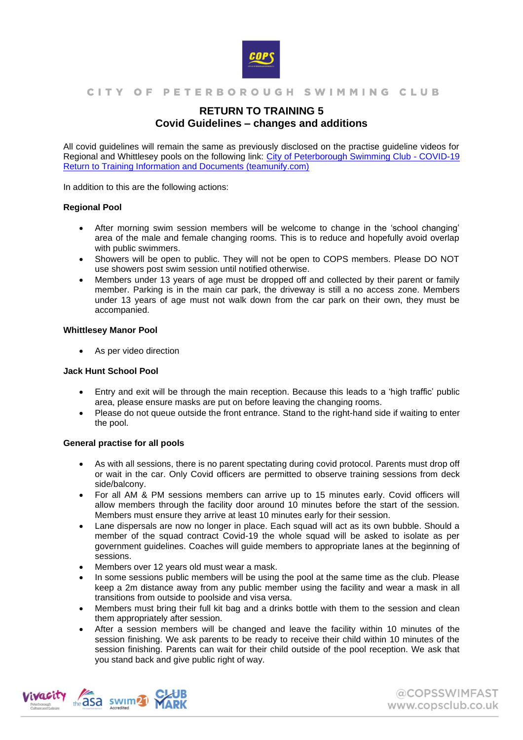

CITY OF PETERBOROUGH SWIMMING CLUB

# **RETURN TO TRAINING 5 Covid Guidelines – changes and additions**

All covid guidelines will remain the same as previously disclosed on the practise guideline videos for Regional and Whittlesey pools on the following link: [City of Peterborough Swimming Club -](https://uk.teamunify.com/team/ercpsc/page/covid-return-to-training/covid-documents) COVID-19 [Return to Training Information and Documents \(teamunify.com\)](https://uk.teamunify.com/team/ercpsc/page/covid-return-to-training/covid-documents)

In addition to this are the following actions:

### **Regional Pool**

- After morning swim session members will be welcome to change in the 'school changing' area of the male and female changing rooms. This is to reduce and hopefully avoid overlap with public swimmers.
- Showers will be open to public. They will not be open to COPS members. Please DO NOT use showers post swim session until notified otherwise.
- Members under 13 years of age must be dropped off and collected by their parent or family member. Parking is in the main car park, the driveway is still a no access zone. Members under 13 years of age must not walk down from the car park on their own, they must be accompanied.

#### **Whittlesey Manor Pool**

• As per video direction

#### **Jack Hunt School Pool**

- Entry and exit will be through the main reception. Because this leads to a 'high traffic' public area, please ensure masks are put on before leaving the changing rooms.
- Please do not queue outside the front entrance. Stand to the right-hand side if waiting to enter the pool.

#### **General practise for all pools**

- As with all sessions, there is no parent spectating during covid protocol. Parents must drop off or wait in the car. Only Covid officers are permitted to observe training sessions from deck side/balcony.
- For all AM & PM sessions members can arrive up to 15 minutes early. Covid officers will allow members through the facility door around 10 minutes before the start of the session. Members must ensure they arrive at least 10 minutes early for their session.
- Lane dispersals are now no longer in place. Each squad will act as its own bubble. Should a member of the squad contract Covid-19 the whole squad will be asked to isolate as per government guidelines. Coaches will guide members to appropriate lanes at the beginning of sessions.
- Members over 12 years old must wear a mask.
- In some sessions public members will be using the pool at the same time as the club. Please keep a 2m distance away from any public member using the facility and wear a mask in all transitions from outside to poolside and visa versa.
- Members must bring their full kit bag and a drinks bottle with them to the session and clean them appropriately after session.
- After a session members will be changed and leave the facility within 10 minutes of the session finishing. We ask parents to be ready to receive their child within 10 minutes of the session finishing. Parents can wait for their child outside of the pool reception. We ask that you stand back and give public right of way.

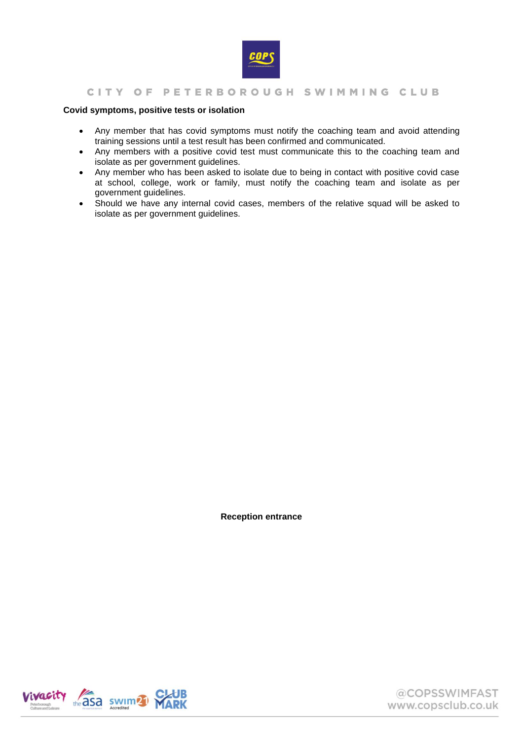

CITY OF PETERBOROUGH SWIMMING CLUB

#### **Covid symptoms, positive tests or isolation**

- Any member that has covid symptoms must notify the coaching team and avoid attending training sessions until a test result has been confirmed and communicated.
- Any members with a positive covid test must communicate this to the coaching team and isolate as per government guidelines.
- Any member who has been asked to isolate due to being in contact with positive covid case at school, college, work or family, must notify the coaching team and isolate as per government guidelines.
- Should we have any internal covid cases, members of the relative squad will be asked to isolate as per government guidelines.

**Reception entrance**